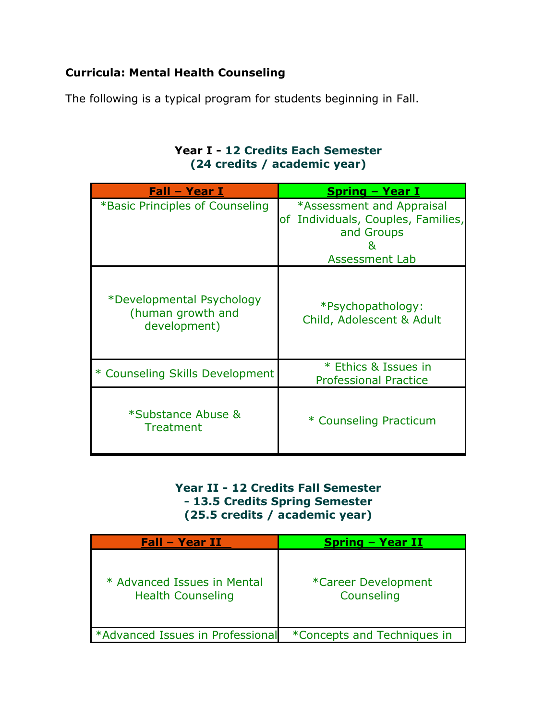## **Curricula: Mental Health Counseling**

The following is a typical program for students beginning in Fall.

## **Year I - 12 Credits Each Semester (24 credits / academic year)**

| Fall - Year I                                                  | Spring - Year I                                      |
|----------------------------------------------------------------|------------------------------------------------------|
| *Basic Principles of Counseling                                | *Assessment and Appraisal                            |
|                                                                | of Individuals, Couples, Families,                   |
|                                                                | and Groups                                           |
|                                                                | x,                                                   |
|                                                                | <b>Assessment Lab</b>                                |
| *Developmental Psychology<br>(human growth and<br>development) | *Psychopathology:<br>Child, Adolescent & Adult       |
| * Counseling Skills Development                                | * Ethics & Issues in<br><b>Professional Practice</b> |
| *Substance Abuse &<br><b>Treatment</b>                         | * Counseling Practicum                               |

## **Year II - 12 Credits Fall Semester - 13.5 Credits Spring Semester (25.5 credits / academic year)**

| <b>Fall - Year II</b>                                   | <b>Spring - Year II</b>           |
|---------------------------------------------------------|-----------------------------------|
| * Advanced Issues in Mental<br><b>Health Counseling</b> | *Career Development<br>Counseling |
| *Advanced Issues in Professional                        | *Concepts and Techniques in       |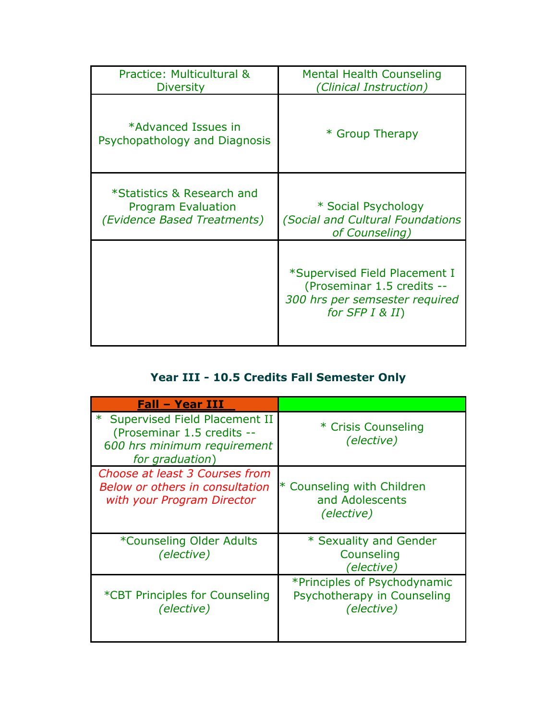| Practice: Multicultural &                            | <b>Mental Health Counseling</b>                                                                                   |
|------------------------------------------------------|-------------------------------------------------------------------------------------------------------------------|
| <b>Diversity</b>                                     | (Clinical Instruction)                                                                                            |
| *Advanced Issues in<br>Psychopathology and Diagnosis | * Group Therapy                                                                                                   |
| *Statistics & Research and                           | * Social Psychology                                                                                               |
| <b>Program Evaluation</b>                            | (Social and Cultural Foundations                                                                                  |
| <i>(Evidence Based Treatments)</i>                   | of Counseling)                                                                                                    |
|                                                      | *Supervised Field Placement I<br>(Proseminar 1.5 credits --<br>300 hrs per semsester required<br>for $SFP I & H)$ |

## **Year III - 10.5 Credits Fall Semester Only**

| <b>Fall - Year III</b>                                                                                          |                                                                           |
|-----------------------------------------------------------------------------------------------------------------|---------------------------------------------------------------------------|
| * Supervised Field Placement II<br>(Proseminar 1.5 credits --<br>600 hrs minimum requirement<br>for graduation) | * Crisis Counseling<br>(elective)                                         |
| Choose at least 3 Courses from<br>Below or others in consultation<br>with your Program Director                 | * Counseling with Children<br>and Adolescents<br>(elective)               |
| *Counseling Older Adults<br>(elective)                                                                          | * Sexuality and Gender<br>Counseling<br>(elective)                        |
| *CBT Principles for Counseling<br>(elective)                                                                    | *Principles of Psychodynamic<br>Psychotherapy in Counseling<br>(elective) |